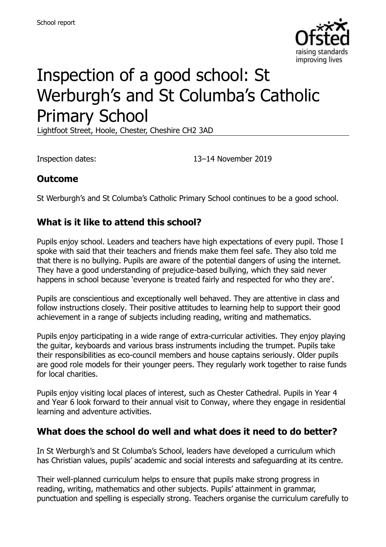

# Inspection of a good school: St Werburgh's and St Columba's Catholic Primary School

Lightfoot Street, Hoole, Chester, Cheshire CH2 3AD

Inspection dates: 13–14 November 2019

### **Outcome**

St Werburgh's and St Columba's Catholic Primary School continues to be a good school.

### **What is it like to attend this school?**

Pupils enjoy school. Leaders and teachers have high expectations of every pupil. Those I spoke with said that their teachers and friends make them feel safe. They also told me that there is no bullying. Pupils are aware of the potential dangers of using the internet. They have a good understanding of prejudice-based bullying, which they said never happens in school because 'everyone is treated fairly and respected for who they are'.

Pupils are conscientious and exceptionally well behaved. They are attentive in class and follow instructions closely. Their positive attitudes to learning help to support their good achievement in a range of subjects including reading, writing and mathematics.

Pupils enjoy participating in a wide range of extra-curricular activities. They enjoy playing the guitar, keyboards and various brass instruments including the trumpet. Pupils take their responsibilities as eco-council members and house captains seriously. Older pupils are good role models for their younger peers. They regularly work together to raise funds for local charities.

Pupils enjoy visiting local places of interest, such as Chester Cathedral. Pupils in Year 4 and Year 6 look forward to their annual visit to Conway, where they engage in residential learning and adventure activities.

#### **What does the school do well and what does it need to do better?**

In St Werburgh's and St Columba's School, leaders have developed a curriculum which has Christian values, pupils' academic and social interests and safeguarding at its centre.

Their well-planned curriculum helps to ensure that pupils make strong progress in reading, writing, mathematics and other subjects. Pupils' attainment in grammar, punctuation and spelling is especially strong. Teachers organise the curriculum carefully to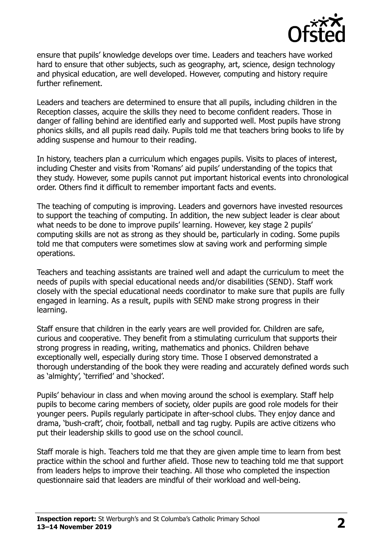

ensure that pupils' knowledge develops over time. Leaders and teachers have worked hard to ensure that other subjects, such as geography, art, science, design technology and physical education, are well developed. However, computing and history require further refinement.

Leaders and teachers are determined to ensure that all pupils, including children in the Reception classes, acquire the skills they need to become confident readers. Those in danger of falling behind are identified early and supported well. Most pupils have strong phonics skills, and all pupils read daily. Pupils told me that teachers bring books to life by adding suspense and humour to their reading.

In history, teachers plan a curriculum which engages pupils. Visits to places of interest, including Chester and visits from 'Romans' aid pupils' understanding of the topics that they study. However, some pupils cannot put important historical events into chronological order. Others find it difficult to remember important facts and events.

The teaching of computing is improving. Leaders and governors have invested resources to support the teaching of computing. In addition, the new subject leader is clear about what needs to be done to improve pupils' learning. However, key stage 2 pupils' computing skills are not as strong as they should be, particularly in coding. Some pupils told me that computers were sometimes slow at saving work and performing simple operations.

Teachers and teaching assistants are trained well and adapt the curriculum to meet the needs of pupils with special educational needs and/or disabilities (SEND). Staff work closely with the special educational needs coordinator to make sure that pupils are fully engaged in learning. As a result, pupils with SEND make strong progress in their learning.

Staff ensure that children in the early years are well provided for. Children are safe, curious and cooperative. They benefit from a stimulating curriculum that supports their strong progress in reading, writing, mathematics and phonics. Children behave exceptionally well, especially during story time. Those I observed demonstrated a thorough understanding of the book they were reading and accurately defined words such as 'almighty', 'terrified' and 'shocked'.

Pupils' behaviour in class and when moving around the school is exemplary. Staff help pupils to become caring members of society, older pupils are good role models for their younger peers. Pupils regularly participate in after-school clubs. They enjoy dance and drama, 'bush-craft', choir, football, netball and tag rugby. Pupils are active citizens who put their leadership skills to good use on the school council.

Staff morale is high. Teachers told me that they are given ample time to learn from best practice within the school and further afield. Those new to teaching told me that support from leaders helps to improve their teaching. All those who completed the inspection questionnaire said that leaders are mindful of their workload and well-being.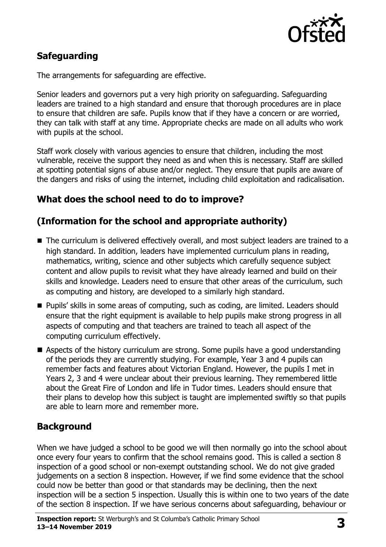

# **Safeguarding**

The arrangements for safeguarding are effective.

Senior leaders and governors put a very high priority on safeguarding. Safeguarding leaders are trained to a high standard and ensure that thorough procedures are in place to ensure that children are safe. Pupils know that if they have a concern or are worried, they can talk with staff at any time. Appropriate checks are made on all adults who work with pupils at the school.

Staff work closely with various agencies to ensure that children, including the most vulnerable, receive the support they need as and when this is necessary. Staff are skilled at spotting potential signs of abuse and/or neglect. They ensure that pupils are aware of the dangers and risks of using the internet, including child exploitation and radicalisation.

### **What does the school need to do to improve?**

### **(Information for the school and appropriate authority)**

- The curriculum is delivered effectively overall, and most subject leaders are trained to a high standard. In addition, leaders have implemented curriculum plans in reading, mathematics, writing, science and other subjects which carefully sequence subject content and allow pupils to revisit what they have already learned and build on their skills and knowledge. Leaders need to ensure that other areas of the curriculum, such as computing and history, are developed to a similarly high standard.
- **Pupils' skills in some areas of computing, such as coding, are limited. Leaders should** ensure that the right equipment is available to help pupils make strong progress in all aspects of computing and that teachers are trained to teach all aspect of the computing curriculum effectively.
- Aspects of the history curriculum are strong. Some pupils have a good understanding of the periods they are currently studying. For example, Year 3 and 4 pupils can remember facts and features about Victorian England. However, the pupils I met in Years 2, 3 and 4 were unclear about their previous learning. They remembered little about the Great Fire of London and life in Tudor times. Leaders should ensure that their plans to develop how this subject is taught are implemented swiftly so that pupils are able to learn more and remember more.

#### **Background**

When we have judged a school to be good we will then normally go into the school about once every four years to confirm that the school remains good. This is called a section 8 inspection of a good school or non-exempt outstanding school. We do not give graded judgements on a section 8 inspection. However, if we find some evidence that the school could now be better than good or that standards may be declining, then the next inspection will be a section 5 inspection. Usually this is within one to two years of the date of the section 8 inspection. If we have serious concerns about safeguarding, behaviour or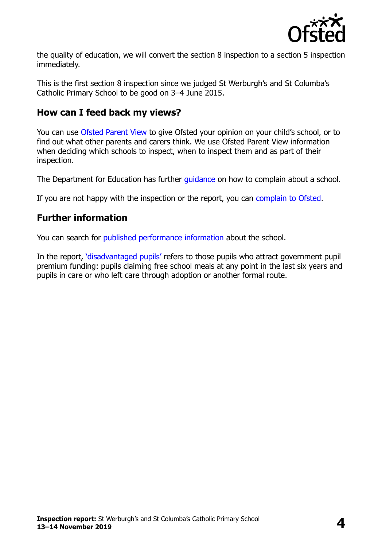

the quality of education, we will convert the section 8 inspection to a section 5 inspection immediately.

This is the first section 8 inspection since we judged St Werburgh's and St Columba's Catholic Primary School to be good on 3–4 June 2015.

#### **How can I feed back my views?**

You can use [Ofsted Parent View](https://parentview.ofsted.gov.uk/) to give Ofsted your opinion on your child's school, or to find out what other parents and carers think. We use Ofsted Parent View information when deciding which schools to inspect, when to inspect them and as part of their inspection.

The Department for Education has further quidance on how to complain about a school.

If you are not happy with the inspection or the report, you can [complain to Ofsted.](https://www.gov.uk/complain-ofsted-report)

#### **Further information**

You can search for [published performance information](http://www.compare-school-performance.service.gov.uk/) about the school.

In the report, '[disadvantaged pupils](http://www.gov.uk/guidance/pupil-premium-information-for-schools-and-alternative-provision-settings)' refers to those pupils who attract government pupil premium funding: pupils claiming free school meals at any point in the last six years and pupils in care or who left care through adoption or another formal route.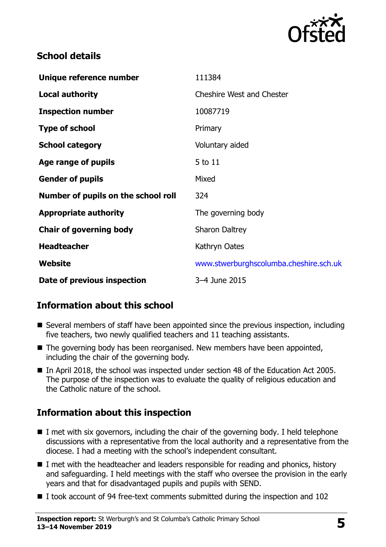

#### **School details**

| Unique reference number             | 111384                                 |
|-------------------------------------|----------------------------------------|
| <b>Local authority</b>              | <b>Cheshire West and Chester</b>       |
| <b>Inspection number</b>            | 10087719                               |
| <b>Type of school</b>               | Primary                                |
| <b>School category</b>              | Voluntary aided                        |
| Age range of pupils                 | 5 to 11                                |
| <b>Gender of pupils</b>             | Mixed                                  |
| Number of pupils on the school roll | 324                                    |
| <b>Appropriate authority</b>        | The governing body                     |
| <b>Chair of governing body</b>      | <b>Sharon Daltrey</b>                  |
| <b>Headteacher</b>                  | Kathryn Oates                          |
| Website                             | www.stwerburghscolumba.cheshire.sch.uk |
| Date of previous inspection         | 3-4 June 2015                          |

# **Information about this school**

- Several members of staff have been appointed since the previous inspection, including five teachers, two newly qualified teachers and 11 teaching assistants.
- $\blacksquare$  The governing body has been reorganised. New members have been appointed, including the chair of the governing body.
- In April 2018, the school was inspected under section 48 of the Education Act 2005. The purpose of the inspection was to evaluate the quality of religious education and the Catholic nature of the school.

# **Information about this inspection**

- $\blacksquare$  I met with six governors, including the chair of the governing body. I held telephone discussions with a representative from the local authority and a representative from the diocese. I had a meeting with the school's independent consultant.
- I met with the headteacher and leaders responsible for reading and phonics, history and safeguarding. I held meetings with the staff who oversee the provision in the early years and that for disadvantaged pupils and pupils with SEND.
- I took account of 94 free-text comments submitted during the inspection and 102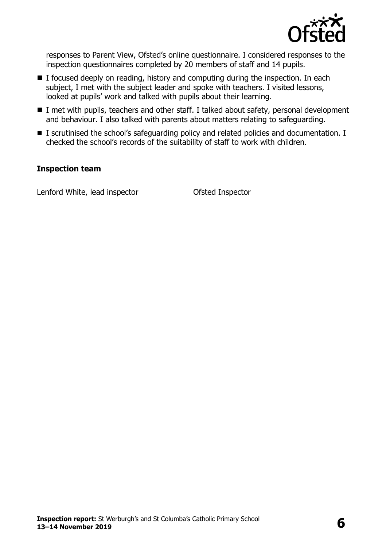

responses to Parent View, Ofsted's online questionnaire. I considered responses to the inspection questionnaires completed by 20 members of staff and 14 pupils.

- $\blacksquare$  I focused deeply on reading, history and computing during the inspection. In each subject, I met with the subject leader and spoke with teachers. I visited lessons, looked at pupils' work and talked with pupils about their learning.
- I met with pupils, teachers and other staff. I talked about safety, personal development and behaviour. I also talked with parents about matters relating to safeguarding.
- I scrutinised the school's safeguarding policy and related policies and documentation. I checked the school's records of the suitability of staff to work with children.

#### **Inspection team**

Lenford White, lead inspector **Conservative Conservation** Ofsted Inspector